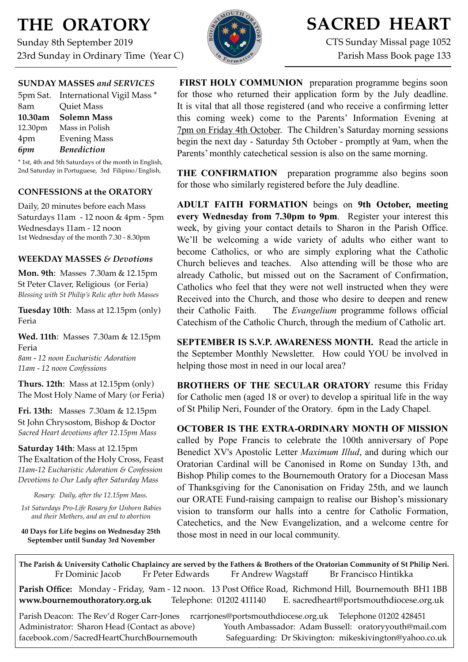# **THE ORATORY**

Sunday 8th September 2019 23rd Sunday in Ordinary Time (Year C)



## **SACRED HEART**

CTS Sunday Missal page 1052 Parish Mass Book page 133

#### **SUNDAY MASSES** *and SERVICES*

|         | 5pm Sat. International Vigil Mass * |
|---------|-------------------------------------|
| 8am     | <b>Quiet Mass</b>                   |
| 10.30am | <b>Solemn Mass</b>                  |
| 12.30pm | Mass in Polish                      |
| 4pm     | <b>Evening Mass</b>                 |
| 6pm     | <b>Benediction</b>                  |

\* 1st, 4th and 5th Saturdays of the month in English, 2nd Saturday in Portuguese, 3rd Filipino/English,

## **CONFESSIONS at the ORATORY**

Daily, 20 minutes before each Mass Saturdays 11am - 12 noon & 4pm - 5pm Wednesdays 11am - 12 noon 1st Wednesday of the month 7.30 - 8.30pm

#### **WEEKDAY MASSES** *& Devotions*

**Mon. 9th**: Masses 7.30am & 12.15pm St Peter Claver, Religious (or Feria) *Blessing with St Philip's Relic after both Masses*

**Tuesday 10th**: Mass at 12.15pm (only) Feria

**Wed. 11th**: Masses7.30am & 12.15pm Feria *8am - 12 noon Eucharistic Adoration 11am - 12 noon Confessions*

**Thurs. 12th**: Mass at 12.15pm (only) The Most Holy Name of Mary (or Feria)

**Fri. 13th:** Masses 7.30am & 12.15pm St John Chrysostom, Bishop & Doctor *Sacred Heart devotions after 12.15pm Mass*

**Saturday 14th**: Mass at 12.15pm The Exaltation of the Holy Cross, Feast *11am-12 Eucharistic Adoration & Confession Devotions to Our Lady after Saturday Mass*

*Rosary: Daily, after the 12.15pm Mass.*

*1st Saturdays Pro-Life Rosary for Unborn Babies and their Mothers, and an end to abortion*

**40 Days for Life begins on Wednesday 25th September until Sunday 3rd November**

**FIRST HOLY COMMUNION** preparation programme begins soon for those who returned their application form by the July deadline. It is vital that all those registered (and who receive a confirming letter this coming week) come to the Parents' Information Evening at 7pm on Friday 4th October. The Children's Saturday morning sessions begin the next day - Saturday 5th October - promptly at 9am, when the Parents' monthly catechetical session is also on the same morning.

**THE CONFIRMATION** preparation programme also begins soon for those who similarly registered before the July deadline.

**ADULT FAITH FORMATION** beings on **9th October, meeting every Wednesday from 7.30pm to 9pm**. Register your interest this week, by giving your contact details to Sharon in the Parish Office. We'll be welcoming a wide variety of adults who either want to become Catholics, or who are simply exploring what the Catholic Church believes and teaches. Also attending will be those who are already Catholic, but missed out on the Sacrament of Confirmation, Catholics who feel that they were not well instructed when they were Received into the Church, and those who desire to deepen and renew their Catholic Faith. The *Evangelium* programme follows official Catechism of the Catholic Church, through the medium of Catholic art.

**SEPTEMBER IS S.V.P. AWARENESS MONTH.** Read the article in the September Monthly Newsletter. How could YOU be involved in helping those most in need in our local area?

**BROTHERS OF THE SECULAR ORATORY** resume this Friday for Catholic men (aged 18 or over) to develop a spiritual life in the way of St Philip Neri, Founder of the Oratory. 6pm in the Lady Chapel.

**OCTOBER IS THE EXTRA-ORDINARY MONTH OF MISSION**  called by Pope Francis to celebrate the 100th anniversary of Pope Benedict XV's Apostolic Letter *[Maximum Illud](https://w2.vatican.va/content/benedict-xv/en/apost_letters/documents/hf_ben-xv_apl_19191130_maximum-illud.html)*, and during which our Oratorian Cardinal will be Canonised in Rome on Sunday 13th, and Bishop Philip comes to the Bournemouth Oratory for a Diocesan Mass of Thanksgiving for the Canonisation on Friday 25th, and we launch our ORATE Fund-raising campaign to realise our Bishop's missionary vision to transform our halls into a centre for Catholic Formation, Catechetics, and the New Evangelization, and a welcome centre for those most in need in our local community.

**The Parish & University Catholic Chaplaincy are served by the Fathers & Brothers of the Oratorian Community of St Philip Neri.** Fr Dominic Jacob Fr Peter Edwards Fr Andrew Wagstaff Br Francisco Hintikka

**Parish Office:** Monday - Friday, 9am - 12 noon. 13 Post Office Road, Richmond Hill, Bournemouth BH1 1BB **[www.bournemouthoratory.org.uk](http://www.bournemoithoratory.org.uk)** Telephone: 01202 411140 E. [sacredheart@portsmouthdiocese.org.uk](mailto:sacredheart@portsmouthdiocese.org.uk)

Parish Deacon: The Rev'd Roger Carr-Jones [rcarrjones@portsmouthdiocese.org.uk](mailto:rcarrjones@portsmouthdiocese.org.uk) Telephone 01202 428451 Administrator: Sharon Head (Contact as above) Youth Ambassador: Adam Bussell: [oratoryyouth@mail.com](http://oratoryyouth.mail.com) [facebook.com/SacredHeartChurchBournemouth](http://facebook.com/SaccredHeartChurchBournemouth) Safeguarding: Dr Skivington: mikeskivington@yahoo.co.uk